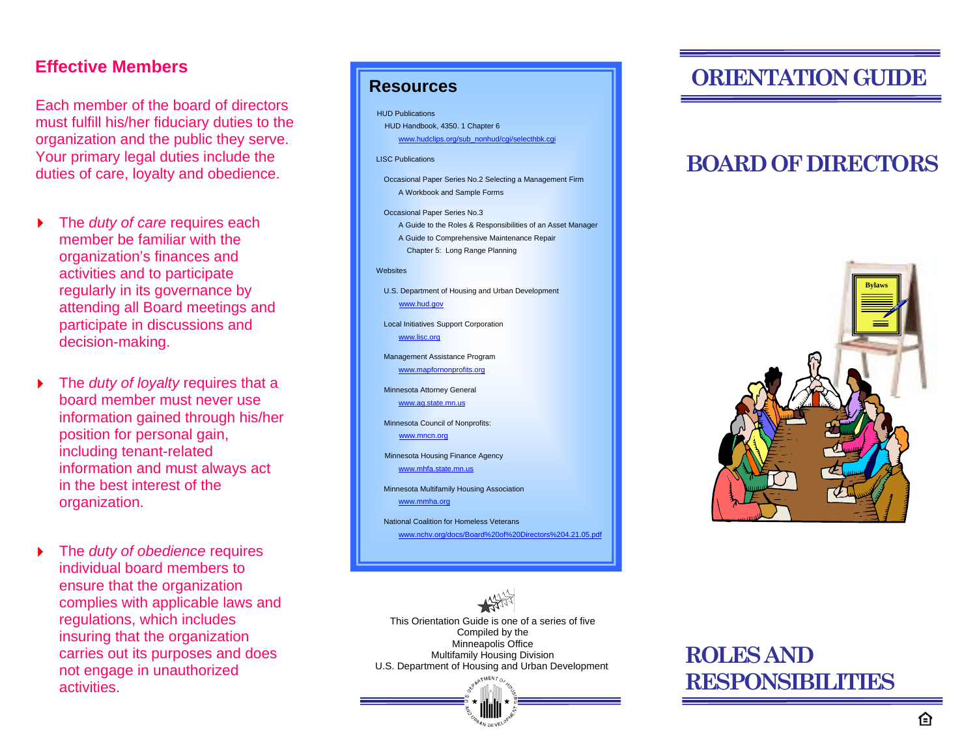### **Effective Members**

Each member of the board of directors must fulfill his/her fiduciary duties to the organization and the public they serve. Your primary legal duties include the duties of care, loyalty and obedience.

- $\blacktriangleright$  The *duty of care* requires each member be familiar with the organization's finances and activities and to participate regularly in its governance by attending all Board meetings and participate in discussions and decision-making.
- $\blacktriangleright$  The *duty of loyalty* requires that a board member must never use information gained through his/her position for personal gain, including tenant-related information and must always act in the best interest of the organization.
- $\blacktriangleright$  The *duty of obedience* requires individual board members to ensure that the organization complies with applicable laws and regulations, which includes insuring that the organization carries out its purposes and does not engage in unauthorized activities.

#### **DRIENTATION GUIDE** HUD Publications HUD Handbook, 4350. 1 Chapter 6 [www.hudclips.org/sub\\_nonhud/cgi/selecthbk.cgi](http://www.hudclips.org/sub_nonhud/cgi/selecthbk.cgi) LISC Publications Occasional Paper Series No.2 Selecting a Management Firm A Workbook and Sample Forms Occasional Paper Series No.3 A Guide to the Roles & Responsibilities of an Asset Manager A Guide to Comprehensive Maintenance Repair Chapter 5: Long Range Planning Websites U.S. Department of Housing and Urban Development [www.hud.gov](http://www.hud.gov/) Local Initiatives Support Corporation [www.lisc.org](http://www.hud.gov/utilities/intercept.cfm?http://www.lisc.org/) Management Assistance Program [www.mapfornonprofits.org](http://www.hud.gov/utilities/intercept.cfm?http://www.mapfornonprofits.org) Minnesota Attorney General [www.ag.state.mn.us](http://www.hud.gov/utilities/intercept.cfm?http://www.ag.state.mn.us) Minnesota Council of Nonprofits: [www.mncn.org](http://www.hud.gov/utilities/intercept.cfm?http://www.mncn.org) Minnesota Housing Finance Agency [www.mhfa.state.mn.us](http://www.hud.gov/utilities/intercept.cfm?http://www.mhfa.state.mn.us) Minnesota Multifamily Housing Association [www.mmha.org](http://www.hud.gov/utilities/intercept.cfm?http://www.mmha.org) National Coalition for Homeless Veterans [www.nchv.org/docs/Board%20of%20Directors%204.21.05.pdf](http://www.hud.gov/utilities/intercept.cfm?http://www.nchv.org/docs/Board%20of%20Directors%204.21.05.pdf)



### **BOARD OF DIRECTORS**





# **RESPONSIBILITIES**